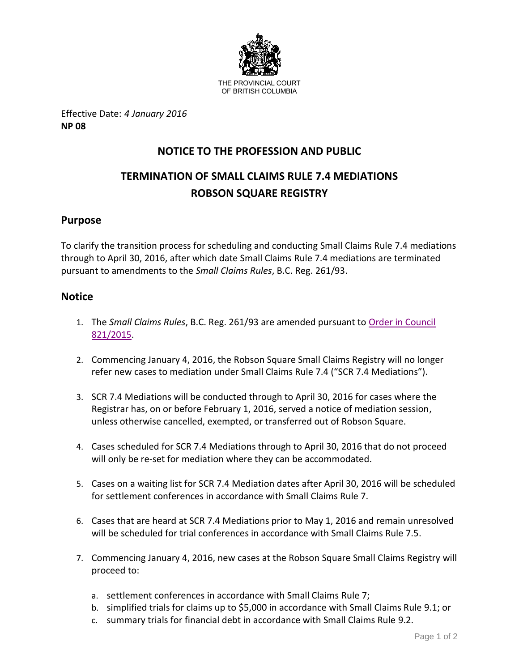

Effective Date: *4 January 2016* **NP 08**

# **NOTICE TO THE PROFESSION AND PUBLIC**

# **TERMINATION OF SMALL CLAIMS RULE 7.4 MEDIATIONS ROBSON SQUARE REGISTRY**

## **Purpose**

To clarify the transition process for scheduling and conducting Small Claims Rule 7.4 mediations through to April 30, 2016, after which date Small Claims Rule 7.4 mediations are terminated pursuant to amendments to the *Small Claims Rules*, B.C. Reg. 261/93.

### **Notice**

- 1. The *Small Claims Rules*, B.C. Reg. 261/93 are amended pursuant to [Order in Council](https://www.bclaws.gov.bc.ca/civix/document/id/oic/arc_oic/0821_2015)  [821/2015](https://www.bclaws.gov.bc.ca/civix/document/id/oic/arc_oic/0821_2015).
- 2. Commencing January 4, 2016, the Robson Square Small Claims Registry will no longer refer new cases to mediation under Small Claims Rule 7.4 ("SCR 7.4 Mediations").
- 3. SCR 7.4 Mediations will be conducted through to April 30, 2016 for cases where the Registrar has, on or before February 1, 2016, served a notice of mediation session, unless otherwise cancelled, exempted, or transferred out of Robson Square.
- 4. Cases scheduled for SCR 7.4 Mediations through to April 30, 2016 that do not proceed will only be re-set for mediation where they can be accommodated.
- 5. Cases on a waiting list for SCR 7.4 Mediation dates after April 30, 2016 will be scheduled for settlement conferences in accordance with Small Claims Rule 7.
- 6. Cases that are heard at SCR 7.4 Mediations prior to May 1, 2016 and remain unresolved will be scheduled for trial conferences in accordance with Small Claims Rule 7.5.
- 7. Commencing January 4, 2016, new cases at the Robson Square Small Claims Registry will proceed to:
	- a. settlement conferences in accordance with Small Claims Rule 7;
	- b. simplified trials for claims up to \$5,000 in accordance with Small Claims Rule 9.1; or
	- c. summary trials for financial debt in accordance with Small Claims Rule 9.2.